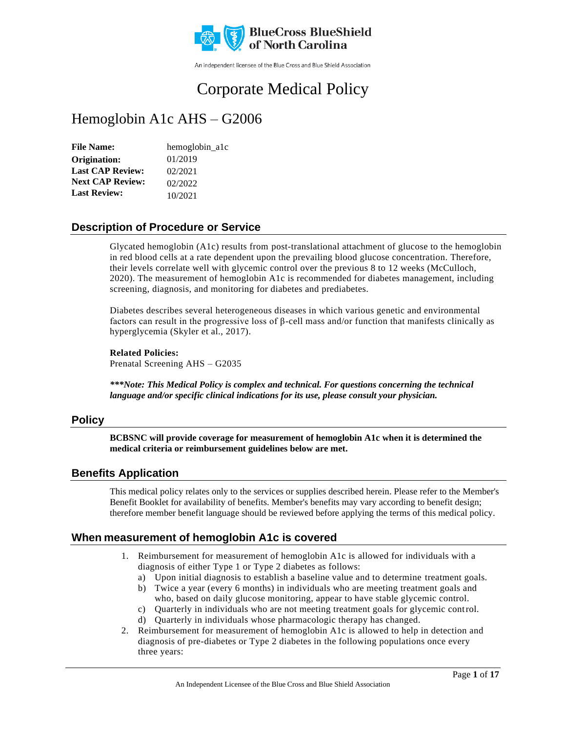

An independent licensee of the Blue Cross and Blue Shield Association

# Corporate Medical Policy

## Hemoglobin A1c AHS – G2006

| <b>File Name:</b>       | hemoglobin_a1c |
|-------------------------|----------------|
| Origination:            | 01/2019        |
| <b>Last CAP Review:</b> | 02/2021        |
| <b>Next CAP Review:</b> | 02/2022        |
| <b>Last Review:</b>     | 10/2021        |

### **Description of Procedure or Service**

Glycated hemoglobin (A1c) results from post-translational attachment of glucose to the hemoglobin in red blood cells at a rate dependent upon the prevailing blood glucose concentration. Therefore, their levels correlate well with glycemic control over the previous 8 to 12 weeks (McCulloch, 2020). The measurement of hemoglobin A1c is recommended for diabetes management, including screening, diagnosis, and monitoring for diabetes and prediabetes.

Diabetes describes several heterogeneous diseases in which various genetic and environmental factors can result in the progressive loss of β-cell mass and/or function that manifests clinically as hyperglycemia (Skyler et al., 2017).

**Related Policies:** Prenatal Screening AHS – G2035

*\*\*\*Note: This Medical Policy is complex and technical. For questions concerning the technical language and/or specific clinical indications for its use, please consult your physician.*

### **Policy**

**BCBSNC will provide coverage for measurement of hemoglobin A1c when it is determined the medical criteria or reimbursement guidelines below are met.**

### **Benefits Application**

This medical policy relates only to the services or supplies described herein. Please refer to the Member's Benefit Booklet for availability of benefits. Member's benefits may vary according to benefit design; therefore member benefit language should be reviewed before applying the terms of this medical policy.

### **When measurement of hemoglobin A1c is covered**

- 1. Reimbursement for measurement of hemoglobin A1c is allowed for individuals with a diagnosis of either Type 1 or Type 2 diabetes as follows:
	- a) Upon initial diagnosis to establish a baseline value and to determine treatment goals.
	- b) Twice a year (every 6 months) in individuals who are meeting treatment goals and who, based on daily glucose monitoring, appear to have stable glycemic control.
	- c) Quarterly in individuals who are not meeting treatment goals for glycemic control.
	- d) Quarterly in individuals whose pharmacologic therapy has changed.
- 2. Reimbursement for measurement of hemoglobin A1c is allowed to help in detection and diagnosis of pre-diabetes or Type 2 diabetes in the following populations once every three years: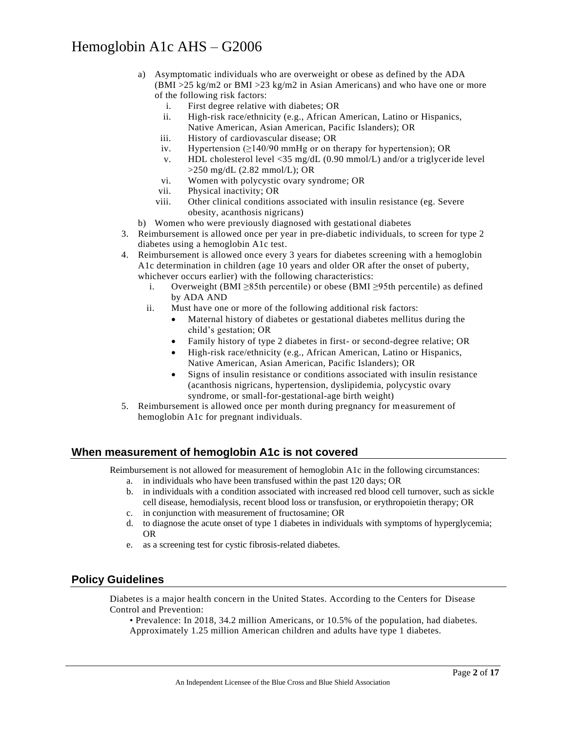- a) Asymptomatic individuals who are overweight or obese as defined by the ADA  $(BMI > 25 \text{ kg/m2 or } BMI > 23 \text{ kg/m2 in Asian Americans})$  and who have one or more of the following risk factors:
	- i. First degree relative with diabetes; OR
	- ii. High-risk race/ethnicity (e.g., African American, Latino or Hispanics, Native American, Asian American, Pacific Islanders); OR
	- iii. History of cardiovascular disease; OR
	- iv. Hypertension  $(\geq 140/90 \text{ mmHg})$  or on therapy for hypertension); OR
	- v. HDL cholesterol level <35 mg/dL (0.90 mmol/L) and/or a triglyceride level >250 mg/dL (2.82 mmol/L); OR
	- vi. Women with polycystic ovary syndrome; OR
	- vii. Physical inactivity; OR
	- viii. Other clinical conditions associated with insulin resistance (eg. Severe obesity, acanthosis nigricans)
- b) Women who were previously diagnosed with gestational diabetes
- 3. Reimbursement is allowed once per year in pre-diabetic individuals, to screen for type 2 diabetes using a hemoglobin A1c test.
- 4. Reimbursement is allowed once every 3 years for diabetes screening with a hemoglobin A1c determination in children (age 10 years and older OR after the onset of puberty, whichever occurs earlier) with the following characteristics:
	- i. Overweight (BMI ≥85th percentile) or obese (BMI ≥95th percentile) as defined by ADA AND
	- ii. Must have one or more of the following additional risk factors:
		- Maternal history of diabetes or gestational diabetes mellitus during the child's gestation; OR
		- Family history of type 2 diabetes in first- or second-degree relative; OR
		- High-risk race/ethnicity (e.g., African American, Latino or Hispanics, Native American, Asian American, Pacific Islanders); OR
		- Signs of insulin resistance or conditions associated with insulin resistance (acanthosis nigricans, hypertension, dyslipidemia, polycystic ovary syndrome, or small-for-gestational-age birth weight)
- 5. Reimbursement is allowed once per month during pregnancy for measurement of hemoglobin A1c for pregnant individuals.

### **When measurement of hemoglobin A1c is not covered**

Reimbursement is not allowed for measurement of hemoglobin A1c in the following circumstances:

- a. in individuals who have been transfused within the past 120 days; OR
- b. in individuals with a condition associated with increased red blood cell turnover, such as sickle cell disease, hemodialysis, recent blood loss or transfusion, or erythropoietin therapy; OR
- c. in conjunction with measurement of fructosamine; OR
- d. to diagnose the acute onset of type 1 diabetes in individuals with symptoms of hyperglycemia; OR
- e. as a screening test for cystic fibrosis-related diabetes.

### **Policy Guidelines**

Diabetes is a major health concern in the United States. According to the Centers for Disease Control and Prevention:

• Prevalence: In 2018, 34.2 million Americans, or 10.5% of the population, had diabetes. Approximately 1.25 million American children and adults have type 1 diabetes.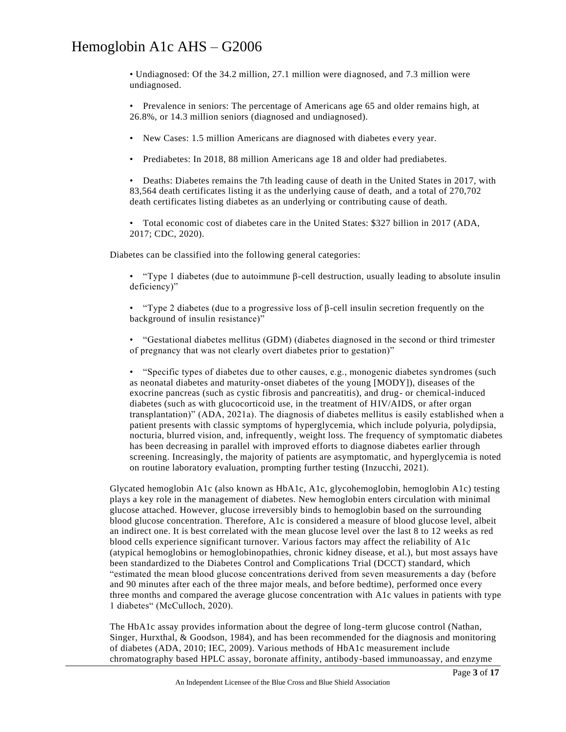• Undiagnosed: Of the 34.2 million, 27.1 million were diagnosed, and 7.3 million were undiagnosed.

• Prevalence in seniors: The percentage of Americans age 65 and older remains high, at 26.8%, or 14.3 million seniors (diagnosed and undiagnosed).

• New Cases: 1.5 million Americans are diagnosed with diabetes every year.

• Prediabetes: In 2018, 88 million Americans age 18 and older had prediabetes.

• Deaths: Diabetes remains the 7th leading cause of death in the United States in 2017, with 83,564 death certificates listing it as the underlying cause of death, and a total of 270,702 death certificates listing diabetes as an underlying or contributing cause of death.

• Total economic cost of diabetes care in the United States: \$327 billion in 2017 (ADA, 2017; CDC, 2020).

Diabetes can be classified into the following general categories:

• "Type 1 diabetes (due to autoimmune β-cell destruction, usually leading to absolute insulin deficiency)"

• "Type 2 diabetes (due to a progressive loss of β-cell insulin secretion frequently on the background of insulin resistance)"

• "Gestational diabetes mellitus (GDM) (diabetes diagnosed in the second or third trimester of pregnancy that was not clearly overt diabetes prior to gestation)"

• "Specific types of diabetes due to other causes, e.g., monogenic diabetes syndromes (such as neonatal diabetes and maturity-onset diabetes of the young [MODY]), diseases of the exocrine pancreas (such as cystic fibrosis and pancreatitis), and drug- or chemical-induced diabetes (such as with glucocorticoid use, in the treatment of HIV/AIDS, or after organ transplantation)" (ADA, 2021a). The diagnosis of diabetes mellitus is easily established when a patient presents with classic symptoms of hyperglycemia, which include polyuria, polydipsia, nocturia, blurred vision, and, infrequently, weight loss. The frequency of symptomatic diabetes has been decreasing in parallel with improved efforts to diagnose diabetes earlier through screening. Increasingly, the majority of patients are asymptomatic, and hyperglycemia is noted on routine laboratory evaluation, prompting further testing (Inzucchi, 2021).

Glycated hemoglobin A1c (also known as HbA1c, A1c, glycohemoglobin, hemoglobin A1c) testing plays a key role in the management of diabetes. New hemoglobin enters circulation with minimal glucose attached. However, glucose irreversibly binds to hemoglobin based on the surrounding blood glucose concentration. Therefore, A1c is considered a measure of blood glucose level, albeit an indirect one. It is best correlated with the mean glucose level over the last 8 to 12 weeks as red blood cells experience significant turnover. Various factors may affect the reliability of A1c (atypical hemoglobins or hemoglobinopathies, chronic kidney disease, et al.), but most assays have been standardized to the Diabetes Control and Complications Trial (DCCT) standard, which "estimated the mean blood glucose concentrations derived from seven measurements a day (before and 90 minutes after each of the three major meals, and before bedtime), performed once every three months and compared the average glucose concentration with A1c values in patients with type 1 diabetes" (McCulloch, 2020).

The HbA1c assay provides information about the degree of long-term glucose control (Nathan, Singer, Hurxthal, & Goodson, 1984), and has been recommended for the diagnosis and monitoring of diabetes (ADA, 2010; IEC, 2009). Various methods of HbA1c measurement include chromatography based HPLC assay, boronate affinity, antibody-based immunoassay, and enzyme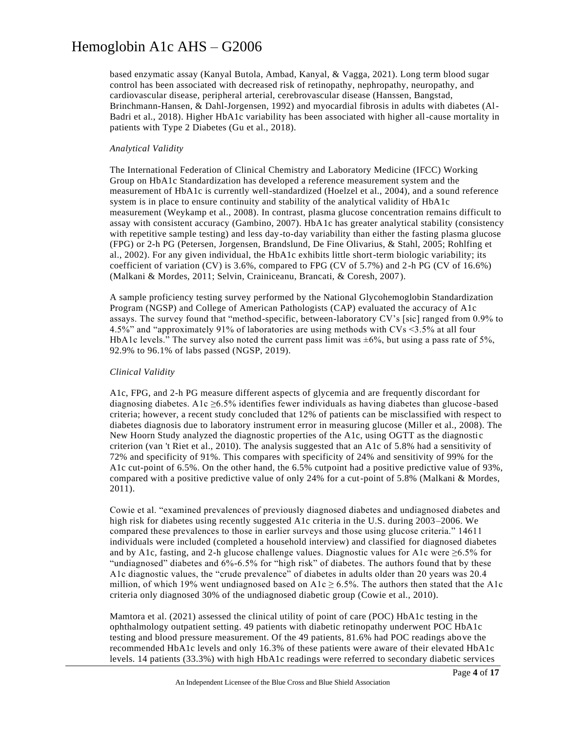based enzymatic assay (Kanyal Butola, Ambad, Kanyal, & Vagga, 2021). Long term blood sugar control has been associated with decreased risk of retinopathy, nephropathy, neuropathy, and cardiovascular disease, peripheral arterial, cerebrovascular disease (Hanssen, Bangstad, Brinchmann-Hansen, & Dahl-Jorgensen, 1992) and myocardial fibrosis in adults with diabetes (Al-Badri et al., 2018). Higher HbA1c variability has been associated with higher all-cause mortality in patients with Type 2 Diabetes (Gu et al., 2018).

### *Analytical Validity*

The International Federation of Clinical Chemistry and Laboratory Medicine (IFCC) Working Group on HbA1c Standardization has developed a reference measurement system and the measurement of HbA1c is currently well-standardized (Hoelzel et al., 2004), and a sound reference system is in place to ensure continuity and stability of the analytical validity of HbA1c measurement (Weykamp et al., 2008). In contrast, plasma glucose concentration remains difficult to assay with consistent accuracy (Gambino, 2007). HbA1c has greater analytical stability (consistency with repetitive sample testing) and less day-to-day variability than either the fasting plasma glucose (FPG) or 2-h PG (Petersen, Jorgensen, Brandslund, De Fine Olivarius, & Stahl, 2005; Rohlfing et al., 2002). For any given individual, the HbA1c exhibits little short-term biologic variability; its coefficient of variation (CV) is 3.6%, compared to FPG (CV of 5.7%) and 2-h PG (CV of 16.6%) (Malkani & Mordes, 2011; Selvin, Crainiceanu, Brancati, & Coresh, 2007).

A sample proficiency testing survey performed by the National Glycohemoglobin Standardization Program (NGSP) and College of American Pathologists (CAP) evaluated the accuracy of A1c assays. The survey found that "method-specific, between-laboratory CV's [sic] ranged from 0.9% to 4.5%" and "approximately 91% of laboratories are using methods with CVs <3.5% at all four HbA1c levels." The survey also noted the current pass limit was  $\pm 6\%$ , but using a pass rate of 5%, 92.9% to 96.1% of labs passed (NGSP, 2019).

#### *Clinical Validity*

A1c, FPG, and 2-h PG measure different aspects of glycemia and are frequently discordant for diagnosing diabetes. A1c  $\geq$ 6.5% identifies fewer individuals as having diabetes than glucose-based criteria; however, a recent study concluded that 12% of patients can be misclassified with respect to diabetes diagnosis due to laboratory instrument error in measuring glucose (Miller et al., 2008). The New Hoorn Study analyzed the diagnostic properties of the A1c, using OGTT as the diagnosti c criterion (van 't Riet et al., 2010). The analysis suggested that an A1c of 5.8% had a sensitivity of 72% and specificity of 91%. This compares with specificity of 24% and sensitivity of 99% for the A1c cut-point of 6.5%. On the other hand, the 6.5% cutpoint had a positive predictive value of 93%, compared with a positive predictive value of only 24% for a cut-point of 5.8% (Malkani & Mordes, 2011).

Cowie et al. "examined prevalences of previously diagnosed diabetes and undiagnosed diabetes and high risk for diabetes using recently suggested A1c criteria in the U.S. during 2003–2006. We compared these prevalences to those in earlier surveys and those using glucose criteria." 14611 individuals were included (completed a household interview) and classified for diagnosed diabetes and by A1c, fasting, and 2-h glucose challenge values. Diagnostic values for A1c were  $\geq 6.5\%$  for "undiagnosed" diabetes and 6%-6.5% for "high risk" of diabetes. The authors found that by these A1c diagnostic values, the "crude prevalence" of diabetes in adults older than 20 years was 20.4 million, of which 19% went undiagnosed based on A1c  $\geq 6.5$ %. The authors then stated that the A1c criteria only diagnosed 30% of the undiagnosed diabetic group (Cowie et al., 2010).

Mamtora et al. (2021) assessed the clinical utility of point of care (POC) HbA1c testing in the ophthalmology outpatient setting. 49 patients with diabetic retinopathy underwent POC HbA1c testing and blood pressure measurement. Of the 49 patients, 81.6% had POC readings abo ve the recommended HbA1c levels and only 16.3% of these patients were aware of their elevated HbA1c levels. 14 patients (33.3%) with high HbA1c readings were referred to secondary diabetic services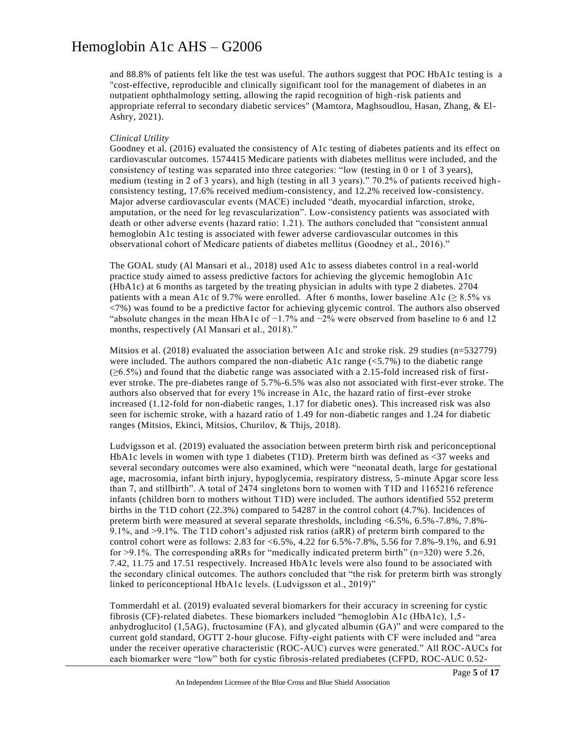and 88.8% of patients felt like the test was useful. The authors suggest that POC HbA1c testing is a "cost-effective, reproducible and clinically significant tool for the management of diabetes in an outpatient ophthalmology setting, allowing the rapid recognition of high-risk patients and appropriate referral to secondary diabetic services" (Mamtora, Maghsoudlou, Hasan, Zhang, & El-Ashry, 2021).

#### *Clinical Utility*

Goodney et al. (2016) evaluated the consistency of A1c testing of diabetes patients and its effect on cardiovascular outcomes. 1574415 Medicare patients with diabetes mellitus were included, and the consistency of testing was separated into three categories: "low (testing in 0 or 1 of 3 years), medium (testing in 2 of 3 years), and high (testing in all 3 years)." 70.2% of patients received high consistency testing, 17.6% received medium-consistency, and 12.2% received low-consistency. Major adverse cardiovascular events (MACE) included "death, myocardial infarction, stroke, amputation, or the need for leg revascularization". Low-consistency patients was associated with death or other adverse events (hazard ratio: 1.21). The authors concluded that "consistent annual hemoglobin A1c testing is associated with fewer adverse cardiovascular outcomes in this observational cohort of Medicare patients of diabetes mellitus (Goodney et al., 2016)."

The GOAL study (Al Mansari et al., 2018) used A1c to assess diabetes control in a real-world practice study aimed to assess predictive factors for achieving the glycemic hemoglobin A1c (HbA1c) at 6 months as targeted by the treating physician in adults with type 2 diabetes. 2704 patients with a mean A1c of 9.7% were enrolled. After 6 months, lower baseline A1c ( $\geq 8.5\%$  vs <7%) was found to be a predictive factor for achieving glycemic control. The authors also observed "absolute changes in the mean HbA1c of  $-1.7\%$  and  $-2\%$  were observed from baseline to 6 and 12 months, respectively (Al Mansari et al., 2018)."

Mitsios et al. (2018) evaluated the association between A1c and stroke risk. 29 studies (n=532779) were included. The authors compared the non-diabetic A1c range  $(<5.7\%)$  to the diabetic range  $(\geq 6.5\%)$  and found that the diabetic range was associated with a 2.15-fold increased risk of firstever stroke. The pre-diabetes range of 5.7%-6.5% was also not associated with first-ever stroke. The authors also observed that for every 1% increase in A1c, the hazard ratio of first-ever stroke increased (1.12-fold for non-diabetic ranges, 1.17 for diabetic ones). This increased risk was also seen for ischemic stroke, with a hazard ratio of 1.49 for non-diabetic ranges and 1.24 for diabetic ranges (Mitsios, Ekinci, Mitsios, Churilov, & Thijs, 2018).

Ludvigsson et al. (2019) evaluated the association between preterm birth risk and periconceptional HbA1c levels in women with type 1 diabetes (T1D). Preterm birth was defined as <37 weeks and several secondary outcomes were also examined, which were "neonatal death, large for gestational age, macrosomia, infant birth injury, hypoglycemia, respiratory distress, 5-minute Apgar score less than 7, and stillbirth". A total of 2474 singletons born to women with T1D and 1165216 reference infants (children born to mothers without T1D) were included. The authors identified 552 preterm births in the T1D cohort (22.3%) compared to 54287 in the control cohort (4.7%). Incidences of preterm birth were measured at several separate thresholds, including <6.5%, 6.5%-7.8%, 7.8%- 9.1%, and >9.1%. The T1D cohort's adjusted risk ratios (aRR) of preterm birth compared to the control cohort were as follows: 2.83 for <6.5%, 4.22 for 6.5%-7.8%, 5.56 for 7.8%-9.1%, and 6.91 for >9.1%. The corresponding aRRs for "medically indicated preterm birth" (n=320) were 5.26, 7.42, 11.75 and 17.51 respectively. Increased HbA1c levels were also found to be associated with the secondary clinical outcomes. The authors concluded that "the risk for preterm birth was strongly linked to periconceptional HbA1c levels. (Ludvigsson et al., 2019)"

Tommerdahl et al. (2019) evaluated several biomarkers for their accuracy in screening for cystic fibrosis (CF)-related diabetes. These biomarkers included "hemoglobin A1c (HbA1c), 1,5 anhydroglucitol (1,5AG), fructosamine (FA), and glycated albumin (GA)" and were compared to the current gold standard, OGTT 2-hour glucose. Fifty-eight patients with CF were included and "area under the receiver operative characteristic (ROC-AUC) curves were generated." All ROC-AUCs for each biomarker were "low" both for cystic fibrosis-related prediabetes (CFPD, ROC-AUC 0.52-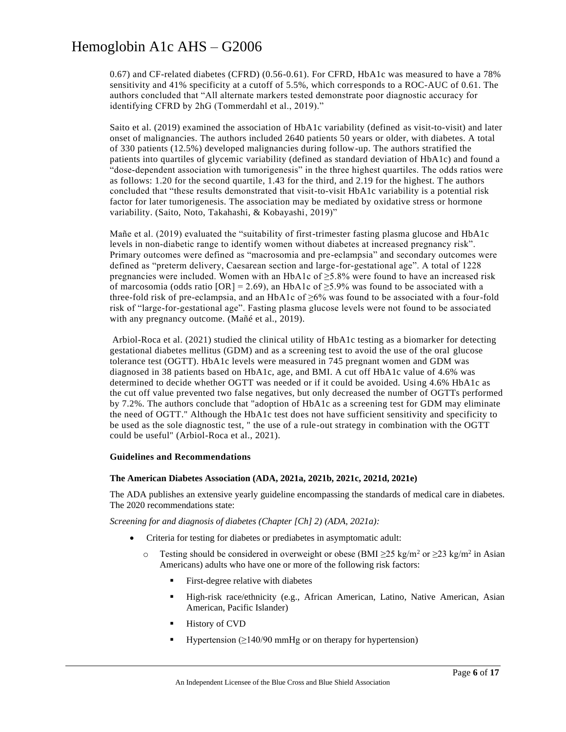0.67) and CF-related diabetes (CFRD) (0.56-0.61). For CFRD, HbA1c was measured to have a 78% sensitivity and 41% specificity at a cutoff of 5.5%, which corresponds to a ROC-AUC of 0.61. The authors concluded that "All alternate markers tested demonstrate poor diagnostic accuracy for identifying CFRD by 2hG (Tommerdahl et al., 2019)."

Saito et al. (2019) examined the association of HbA1c variability (defined as visit-to-visit) and later onset of malignancies. The authors included 2640 patients 50 years or older, with diabetes. A total of 330 patients (12.5%) developed malignancies during follow-up. The authors stratified the patients into quartiles of glycemic variability (defined as standard deviation of HbA1c) and found a "dose-dependent association with tumorigenesis" in the three highest quartiles. The odds ratios were as follows: 1.20 for the second quartile, 1.43 for the third, and 2.19 for the highest. The authors concluded that "these results demonstrated that visit-to-visit HbA1c variability is a potential risk factor for later tumorigenesis. The association may be mediated by oxidative stress or hormone variability. (Saito, Noto, Takahashi, & Kobayashi, 2019)"

Mañe et al. (2019) evaluated the "suitability of first-trimester fasting plasma glucose and HbA1c levels in non-diabetic range to identify women without diabetes at increased pregnancy risk". Primary outcomes were defined as "macrosomia and pre-eclampsia" and secondary outcomes were defined as "preterm delivery, Caesarean section and large-for-gestational age". A total of 1228 pregnancies were included. Women with an HbA1c of  $\geq$ 5.8% were found to have an increased risk of marcosomia (odds ratio  $[OR] = 2.69$ ), an HbA1c of  $\geq$ 5.9% was found to be associated with a three-fold risk of pre-eclampsia, and an HbA1c of  $\geq 6\%$  was found to be associated with a four-fold risk of "large-for-gestational age". Fasting plasma glucose levels were not found to be associated with any pregnancy outcome. (Mañé et al., 2019).

Arbiol-Roca et al. (2021) studied the clinical utility of HbA1c testing as a biomarker for detecting gestational diabetes mellitus (GDM) and as a screening test to avoid the use of the oral glucose tolerance test (OGTT). HbA1c levels were measured in 745 pregnant women and GDM was diagnosed in 38 patients based on HbA1c, age, and BMI. A cut off HbA1c value of 4.6% was determined to decide whether OGTT was needed or if it could be avoided. Using 4.6% HbA1c as the cut off value prevented two false negatives, but only decreased the number of OGTTs performed by 7.2%. The authors conclude that "adoption of HbA1c as a screening test for GDM may eliminate the need of OGTT." Although the HbA1c test does not have sufficient sensitivity and specificity to be used as the sole diagnostic test, " the use of a rule-out strategy in combination with the OGTT could be useful" (Arbiol-Roca et al., 2021).

#### **Guidelines and Recommendations**

#### **The American Diabetes Association (ADA, 2021a, 2021b, 2021c, 2021d, 2021e)**

The ADA publishes an extensive yearly guideline encompassing the standards of medical care in diabetes. The 2020 recommendations state:

*Screening for and diagnosis of diabetes (Chapter [Ch] 2) (ADA, 2021a):*

- Criteria for testing for diabetes or prediabetes in asymptomatic adult:
	- o Testing should be considered in overweight or obese (BMI  $\geq$ 25 kg/m<sup>2</sup> or  $\geq$ 23 kg/m<sup>2</sup> in Asian Americans) adults who have one or more of the following risk factors:
		- **•** First-degree relative with diabetes
		- High-risk race/ethnicity (e.g., African American, Latino, Native American, Asian American, Pacific Islander)
		- **Exercise History of CVD**
		- Hypertension ( $\geq$ 140/90 mmHg or on therapy for hypertension)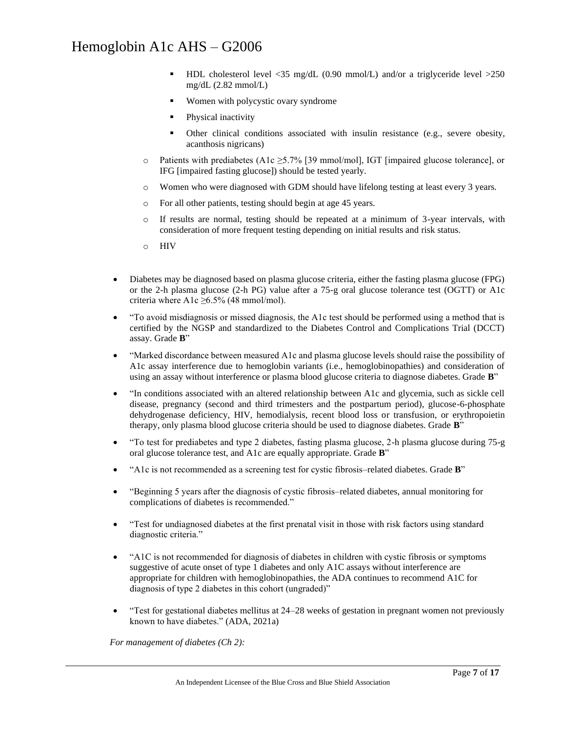- HDL cholesterol level  $\langle 35 \text{ mg/dL} (0.90 \text{ mmol/L})$  and/or a triglyceride level  $>250$ mg/dL  $(2.82$  mmol/L)
- Women with polycystic ovary syndrome
- **•** Physical inactivity
- **•** Other clinical conditions associated with insulin resistance (e.g., severe obesity, acanthosis nigricans)
- o Patients with prediabetes (A1c ≥5.7% [39 mmol/mol], IGT [impaired glucose tolerance], or IFG [impaired fasting glucose]) should be tested yearly.
- o Women who were diagnosed with GDM should have lifelong testing at least every 3 years.
- o For all other patients, testing should begin at age 45 years.
- o If results are normal, testing should be repeated at a minimum of 3-year intervals, with consideration of more frequent testing depending on initial results and risk status.
- o HIV
- Diabetes may be diagnosed based on plasma glucose criteria, either the fasting plasma glucose (FPG) or the 2-h plasma glucose (2-h PG) value after a 75-g oral glucose tolerance test (OGTT) or A1c criteria where A1c  $\geq 6.5\%$  (48 mmol/mol).
- "To avoid misdiagnosis or missed diagnosis, the A1c test should be performed using a method that is certified by the NGSP and standardized to the Diabetes Control and Complications Trial (DCCT) assay. Grade **B**"
- "Marked discordance between measured A1c and plasma glucose levels should raise the possibility of A1c assay interference due to hemoglobin variants (i.e., hemoglobinopathies) and consideration of using an assay without interference or plasma blood glucose criteria to diagnose diabetes. Grade **B**"
- "In conditions associated with an altered relationship between A1c and glycemia, such as sickle cell disease, pregnancy (second and third trimesters and the postpartum period), glucose-6-phosphate dehydrogenase deficiency, HIV, hemodialysis, recent blood loss or transfusion, or erythropoietin therapy, only plasma blood glucose criteria should be used to diagnose diabetes. Grade **B**"
- "To test for prediabetes and type 2 diabetes, fasting plasma glucose, 2-h plasma glucose during 75-g oral glucose tolerance test, and A1c are equally appropriate. Grade **B**"
- "A1c is not recommended as a screening test for cystic fibrosis–related diabetes. Grade **B**"
- "Beginning 5 years after the diagnosis of cystic fibrosis–related diabetes, annual monitoring for complications of diabetes is recommended."
- "Test for undiagnosed diabetes at the first prenatal visit in those with risk factors using standard diagnostic criteria."
- "A1C is not recommended for diagnosis of diabetes in children with cystic fibrosis or symptoms suggestive of acute onset of type 1 diabetes and only A1C assays without interference are appropriate for children with hemoglobinopathies, the ADA continues to recommend A1C for diagnosis of type 2 diabetes in this cohort (ungraded)"
- "Test for gestational diabetes mellitus at 24–28 weeks of gestation in pregnant women not previously known to have diabetes." (ADA, 2021a)

*For management of diabetes (Ch 2):*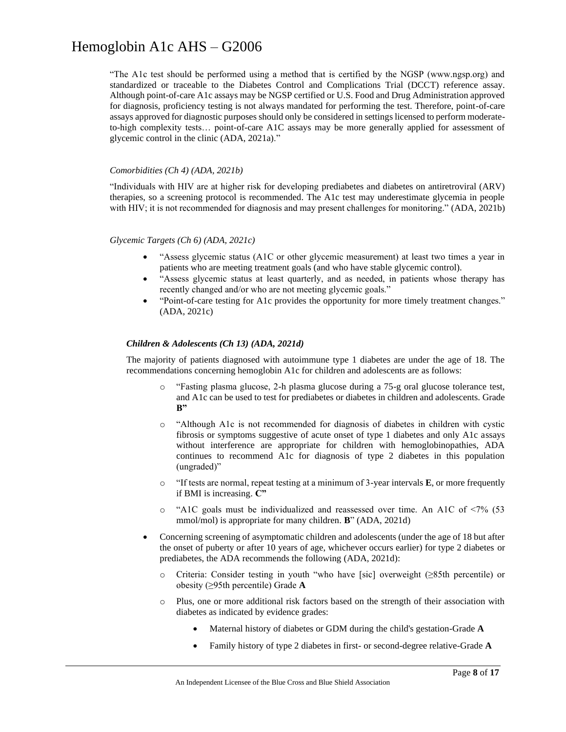"The A1c test should be performed using a method that is certified by the NGSP (www.ngsp.org) and standardized or traceable to the Diabetes Control and Complications Trial (DCCT) reference assay. Although point-of-care A1c assays may be NGSP certified or U.S. Food and Drug Administration approved for diagnosis, proficiency testing is not always mandated for performing the test. Therefore, point-of-care assays approved for diagnostic purposes should only be considered in settings licensed to perform moderateto-high complexity tests… point-of-care A1C assays may be more generally applied for assessment of glycemic control in the clinic (ADA, 2021a)."

#### *Comorbidities (Ch 4) (ADA, 2021b)*

"Individuals with HIV are at higher risk for developing prediabetes and diabetes on antiretroviral (ARV) therapies, so a screening protocol is recommended. The A1c test may underestimate glycemia in people with HIV; it is not recommended for diagnosis and may present challenges for monitoring." (ADA, 2021b)

### *Glycemic Targets (Ch 6) (ADA, 2021c)*

- "Assess glycemic status (A1C or other glycemic measurement) at least two times a year in patients who are meeting treatment goals (and who have stable glycemic control).
- "Assess glycemic status at least quarterly, and as needed, in patients whose therapy has recently changed and/or who are not meeting glycemic goals."
- "Point-of-care testing for A1c provides the opportunity for more timely treatment changes." (ADA, 2021c)

### *Children & Adolescents (Ch 13) (ADA, 2021d)*

The majority of patients diagnosed with autoimmune type 1 diabetes are under the age of 18. The recommendations concerning hemoglobin A1c for children and adolescents are as follows:

- o "Fasting plasma glucose, 2-h plasma glucose during a 75-g oral glucose tolerance test, and A1c can be used to test for prediabetes or diabetes in children and adolescents. Grade **B"**
- o "Although A1c is not recommended for diagnosis of diabetes in children with cystic fibrosis or symptoms suggestive of acute onset of type 1 diabetes and only A1c assays without interference are appropriate for children with hemoglobinopathies, ADA continues to recommend A1c for diagnosis of type 2 diabetes in this population (ungraded)"
- o "If tests are normal, repeat testing at a minimum of 3-year intervals **E**, or more frequently if BMI is increasing. **C"**
- $\circ$  "A1C goals must be individualized and reassessed over time. An A1C of <7% (53) mmol/mol) is appropriate for many children. **B**" (ADA, 2021d)
- Concerning screening of asymptomatic children and adolescents (under the age of 18 but after the onset of puberty or after 10 years of age, whichever occurs earlier) for type 2 diabetes or prediabetes, the ADA recommends the following (ADA, 2021d):
	- o Criteria: Consider testing in youth "who have [sic] overweight (≥85th percentile) or obesity (≥95th percentile) Grade **A**
	- o Plus, one or more additional risk factors based on the strength of their association with diabetes as indicated by evidence grades:
		- Maternal history of diabetes or GDM during the child's gestation-Grade **A**
		- Family history of type 2 diabetes in first- or second-degree relative-Grade **A**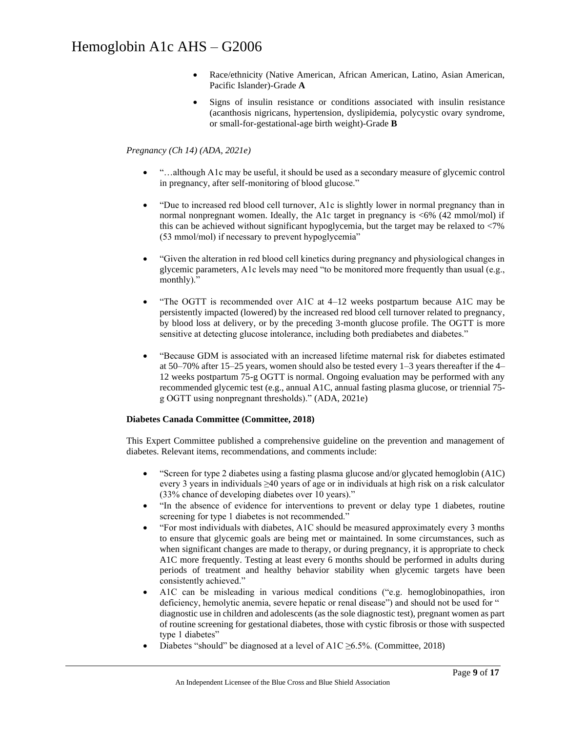- Race/ethnicity (Native American, African American, Latino, Asian American, Pacific Islander)-Grade **A**
- Signs of insulin resistance or conditions associated with insulin resistance (acanthosis nigricans, hypertension, dyslipidemia, polycystic ovary syndrome, or small-for-gestational-age birth weight)-Grade **B**

### *Pregnancy (Ch 14) (ADA, 2021e)*

- "…although A1c may be useful, it should be used as a secondary measure of glycemic control in pregnancy, after self-monitoring of blood glucose."
- "Due to increased red blood cell turnover, A1c is slightly lower in normal pregnancy than in normal nonpregnant women. Ideally, the A1c target in pregnancy is <6% (42 mmol/mol) if this can be achieved without significant hypoglycemia, but the target may be relaxed to <7% (53 mmol/mol) if necessary to prevent hypoglycemia"
- "Given the alteration in red blood cell kinetics during pregnancy and physiological changes in glycemic parameters, A1c levels may need "to be monitored more frequently than usual (e.g., monthly)."
- "The OGTT is recommended over A1C at  $4-12$  weeks postpartum because A1C may be persistently impacted (lowered) by the increased red blood cell turnover related to pregnancy, by blood loss at delivery, or by the preceding 3-month glucose profile. The OGTT is more sensitive at detecting glucose intolerance, including both prediabetes and diabetes."
- "Because GDM is associated with an increased lifetime maternal risk for diabetes estimated at 50–70% after 15–25 years, women should also be tested every 1–3 years thereafter if the 4– 12 weeks postpartum 75-g OGTT is normal. Ongoing evaluation may be performed with any recommended glycemic test (e.g., annual A1C, annual fasting plasma glucose, or triennial 75 g OGTT using nonpregnant thresholds)." (ADA, 2021e)

### **Diabetes Canada Committee (Committee, 2018)**

This Expert Committee published a comprehensive guideline on the prevention and management of diabetes. Relevant items, recommendations, and comments include:

- "Screen for type 2 diabetes using a fasting plasma glucose and/or glycated hemoglobin (A1C) every 3 years in individuals ≥40 years of age or in individuals at high risk on a risk calculator (33% chance of developing diabetes over 10 years)."
- "In the absence of evidence for interventions to prevent or delay type 1 diabetes, routine screening for type 1 diabetes is not recommended."
- "For most individuals with diabetes, A1C should be measured approximately every 3 months to ensure that glycemic goals are being met or maintained. In some circumstances, such as when significant changes are made to therapy, or during pregnancy, it is appropriate to check A1C more frequently. Testing at least every 6 months should be performed in adults during periods of treatment and healthy behavior stability when glycemic targets have been consistently achieved."
- A1C can be misleading in various medical conditions ("e.g. hemoglobinopathies, iron deficiency, hemolytic anemia, severe hepatic or renal disease") and should not be used for " diagnostic use in children and adolescents (as the sole diagnostic test), pregnant women as part of routine screening for gestational diabetes, those with cystic fibrosis or those with suspected type 1 diabetes"
- Diabetes "should" be diagnosed at a level of A1C  $\geq$ 6.5%. (Committee, 2018)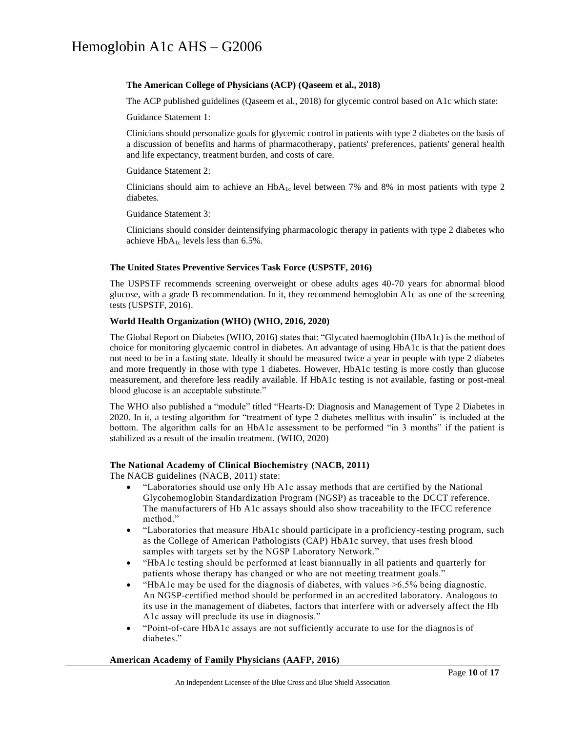#### **The American College of Physicians (ACP) (Qaseem et al., 2018)**

The ACP published guidelines (Qaseem et al., 2018) for glycemic control based on A1c which state:

Guidance Statement 1:

Clinicians should personalize goals for glycemic control in patients with type 2 diabetes on the basis of a discussion of benefits and harms of pharmacotherapy, patients' preferences, patients' general health and life expectancy, treatment burden, and costs of care.

Guidance Statement 2:

Clinicians should aim to achieve an  $HbA_{1c}$  level between 7% and 8% in most patients with type 2 diabetes.

Guidance Statement 3:

Clinicians should consider deintensifying pharmacologic therapy in patients with type 2 diabetes who achieve  $HbA_{1c}$  levels less than 6.5%.

#### **The United States Preventive Services Task Force (USPSTF, 2016)**

The USPSTF recommends screening overweight or obese adults ages 40-70 years for abnormal blood glucose, with a grade B recommendation. In it, they recommend hemoglobin A1c as one of the screening tests (USPSTF, 2016).

#### **World Health Organization (WHO) (WHO, 2016, 2020)**

The Global Report on Diabetes (WHO, 2016) states that: "Glycated haemoglobin (HbA1c) is the method of choice for monitoring glycaemic control in diabetes. An advantage of using HbA1c is that the patient does not need to be in a fasting state. Ideally it should be measured twice a year in people with type 2 diabetes and more frequently in those with type 1 diabetes. However, HbA1c testing is more costly than glucose measurement, and therefore less readily available. If HbA1c testing is not available, fasting or post-meal blood glucose is an acceptable substitute."

The WHO also published a "module" titled "Hearts-D: Diagnosis and Management of Type 2 Diabetes in 2020. In it, a testing algorithm for "treatment of type 2 diabetes mellitus with insulin" is included at the bottom. The algorithm calls for an HbA1c assessment to be performed "in 3 months" if the patient is stabilized as a result of the insulin treatment. (WHO, 2020)

#### **The National Academy of Clinical Biochemistry (NACB, 2011)**

The NACB guidelines (NACB, 2011) state:

- "Laboratories should use only Hb A1c assay methods that are certified by the National Glycohemoglobin Standardization Program (NGSP) as traceable to the DCCT reference. The manufacturers of Hb A1c assays should also show traceability to the IFCC reference method."
- "Laboratories that measure HbA1c should participate in a proficiency-testing program, such as the College of American Pathologists (CAP) HbA1c survey, that uses fresh blood samples with targets set by the NGSP Laboratory Network."
- "HbA1c testing should be performed at least biannually in all patients and quarterly for patients whose therapy has changed or who are not meeting treatment goals."
- "HbA1c may be used for the diagnosis of diabetes, with values >6.5% being diagnostic. An NGSP-certified method should be performed in an accredited laboratory. Analogous to its use in the management of diabetes, factors that interfere with or adversely affect the Hb A1c assay will preclude its use in diagnosis."
- "Point-of-care HbA1c assays are not sufficiently accurate to use for the diagnosis of diabetes."

#### **American Academy of Family Physicians (AAFP, 2016)**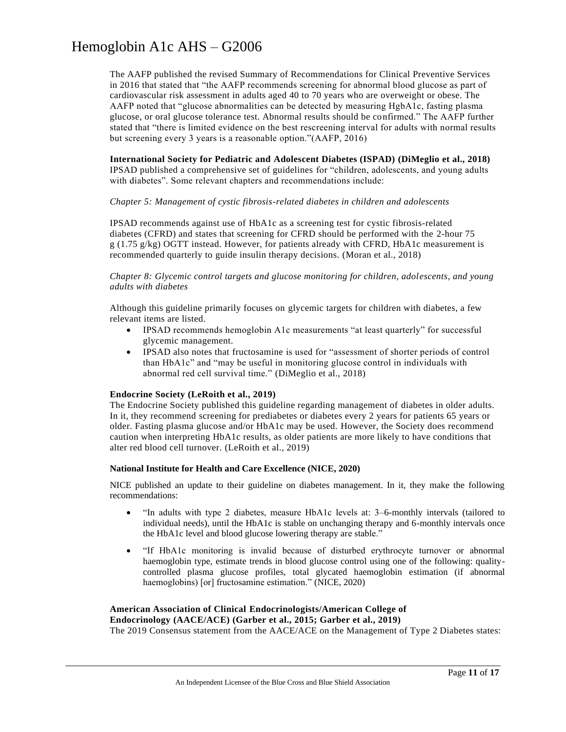The AAFP published the revised Summary of Recommendations for Clinical Preventive Services in 2016 that stated that "the AAFP recommends screening for abnormal blood glucose as part of cardiovascular risk assessment in adults aged 40 to 70 years who are overweight or obese. The AAFP noted that "glucose abnormalities can be detected by measuring HgbA1c, fasting plasma glucose, or oral glucose tolerance test. Abnormal results should be confirmed." The AAFP further stated that "there is limited evidence on the best rescreening interval for adults with normal results but screening every 3 years is a reasonable option."(AAFP, 2016)

**International Society for Pediatric and Adolescent Diabetes (ISPAD) (DiMeglio et al., 2018)** IPSAD published a comprehensive set of guidelines for "children, adolescents, and young adults with diabetes". Some relevant chapters and recommendations include:

#### *Chapter 5: Management of cystic fibrosis-related diabetes in children and adolescents*

IPSAD recommends against use of HbA1c as a screening test for cystic fibrosis-related diabetes (CFRD) and states that screening for CFRD should be performed with the 2-hour 75  $g$  (1.75 g/kg) OGTT instead. However, for patients already with CFRD, HbA1c measurement is recommended quarterly to guide insulin therapy decisions. (Moran et al., 2018)

*Chapter 8: Glycemic control targets and glucose monitoring for children, adolescents, and young adults with diabetes*

Although this guideline primarily focuses on glycemic targets for children with diabetes, a few relevant items are listed.

- IPSAD recommends hemoglobin A1c measurements "at least quarterly" for successful glycemic management.
- IPSAD also notes that fructosamine is used for "assessment of shorter periods of control than HbA1c" and "may be useful in monitoring glucose control in individuals with abnormal red cell survival time." (DiMeglio et al., 2018)

### **Endocrine Society (LeRoith et al., 2019)**

The Endocrine Society published this guideline regarding management of diabetes in older adults. In it, they recommend screening for prediabetes or diabetes every 2 years for patients 65 years or older. Fasting plasma glucose and/or HbA1c may be used. However, the Society does recommend caution when interpreting HbA1c results, as older patients are more likely to have conditions that alter red blood cell turnover. (LeRoith et al., 2019)

#### **National Institute for Health and Care Excellence (NICE, 2020)**

NICE published an update to their guideline on diabetes management. In it, they make the following recommendations:

- "In adults with type 2 diabetes, measure HbA1c levels at: 3–6-monthly intervals (tailored to individual needs), until the HbA1c is stable on unchanging therapy and 6-monthly intervals once the HbA1c level and blood glucose lowering therapy are stable."
- "If HbA1c monitoring is invalid because of disturbed erythrocyte turnover or abnormal haemoglobin type, estimate trends in blood glucose control using one of the following: qualitycontrolled plasma glucose profiles, total glycated haemoglobin estimation (if abnormal haemoglobins) [or] fructosamine estimation." (NICE, 2020)

### **American Association of Clinical Endocrinologists/American College of**

**Endocrinology (AACE/ACE) (Garber et al., 2015; Garber et al., 2019)**

The 2019 Consensus statement from the AACE/ACE on the Management of Type 2 Diabetes states: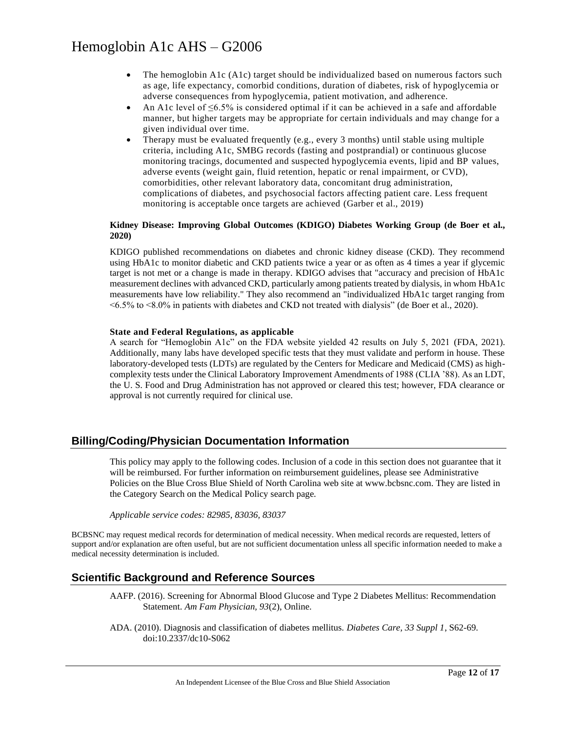- The hemoglobin A1c (A1c) target should be individualized based on numerous factors such as age, life expectancy, comorbid conditions, duration of diabetes, risk of hypoglycemia or adverse consequences from hypoglycemia, patient motivation, and adherence.
- An A1c level of  $\leq 6.5\%$  is considered optimal if it can be achieved in a safe and affordable manner, but higher targets may be appropriate for certain individuals and may change for a given individual over time.
- Therapy must be evaluated frequently (e.g., every 3 months) until stable using multiple criteria, including A1c, SMBG records (fasting and postprandial) or continuous glucose monitoring tracings, documented and suspected hypoglycemia events, lipid and BP values, adverse events (weight gain, fluid retention, hepatic or renal impairment, or CVD), comorbidities, other relevant laboratory data, concomitant drug administration, complications of diabetes, and psychosocial factors affecting patient care. Less frequent monitoring is acceptable once targets are achieved (Garber et al., 2019)

#### **Kidney Disease: Improving Global Outcomes (KDIGO) Diabetes Working Group (de Boer et al., 2020)**

KDIGO published recommendations on diabetes and chronic kidney disease (CKD). They recommend using HbA1c to monitor diabetic and CKD patients twice a year or as often as 4 times a year if glycemic target is not met or a change is made in therapy. KDIGO advises that "accuracy and precision of HbA1c measurement declines with advanced CKD, particularly among patients treated by dialysis, in whom HbA1c measurements have low reliability." They also recommend an "individualized HbA1c target ranging from <6.5% to <8.0% in patients with diabetes and CKD not treated with dialysis" (de Boer et al., 2020).

### **State and Federal Regulations, as applicable**

A search for "Hemoglobin A1c" on the FDA website yielded 42 results on July 5, 2021 (FDA, 2021). Additionally, many labs have developed specific tests that they must validate and perform in house. These laboratory-developed tests (LDTs) are regulated by the Centers for Medicare and Medicaid (CMS) as highcomplexity tests under the Clinical Laboratory Improvement Amendments of 1988 (CLIA '88). As an LDT, the U. S. Food and Drug Administration has not approved or cleared this test; however, FDA clearance or approval is not currently required for clinical use.

### **Billing/Coding/Physician Documentation Information**

This policy may apply to the following codes. Inclusion of a code in this section does not guarantee that it will be reimbursed. For further information on reimbursement guidelines, please see Administrative Policies on the Blue Cross Blue Shield of North Carolina web site at www.bcbsnc.com. They are listed in the Category Search on the Medical Policy search page.

*Applicable service codes: 82985, 83036, 83037*

BCBSNC may request medical records for determination of medical necessity. When medical records are requested, letters of support and/or explanation are often useful, but are not sufficient documentation unless all specific information needed to make a medical necessity determination is included.

### **Scientific Background and Reference Sources**

AAFP. (2016). Screening for Abnormal Blood Glucose and Type 2 Diabetes Mellitus: Recommendation Statement. *Am Fam Physician, 93*(2), Online.

ADA. (2010). Diagnosis and classification of diabetes mellitus. *Diabetes Care, 33 Suppl 1*, S62-69. doi:10.2337/dc10-S062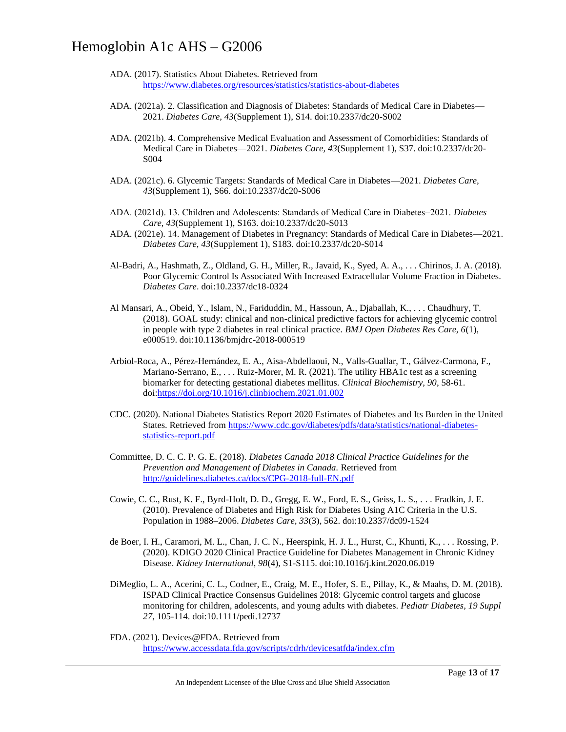- ADA. (2017). Statistics About Diabetes. Retrieved from <https://www.diabetes.org/resources/statistics/statistics-about-diabetes>
- ADA. (2021a). 2. Classification and Diagnosis of Diabetes: Standards of Medical Care in Diabetes— 2021. *Diabetes Care, 43*(Supplement 1), S14. doi:10.2337/dc20-S002
- ADA. (2021b). 4. Comprehensive Medical Evaluation and Assessment of Comorbidities: Standards of Medical Care in Diabetes—2021. *Diabetes Care, 43*(Supplement 1), S37. doi:10.2337/dc20- S004
- ADA. (2021c). 6. Glycemic Targets: Standards of Medical Care in Diabetes—2021. *Diabetes Care, 43*(Supplement 1), S66. doi:10.2337/dc20-S006
- ADA. (2021d). 13. Children and Adolescents: Standards of Medical Care in Diabetes−2021. *Diabetes Care, 43*(Supplement 1), S163. doi:10.2337/dc20-S013
- ADA. (2021e). 14. Management of Diabetes in Pregnancy: Standards of Medical Care in Diabetes—2021. *Diabetes Care, 43*(Supplement 1), S183. doi:10.2337/dc20-S014
- Al-Badri, A., Hashmath, Z., Oldland, G. H., Miller, R., Javaid, K., Syed, A. A., . . . Chirinos, J. A. (2018). Poor Glycemic Control Is Associated With Increased Extracellular Volume Fraction in Diabetes. *Diabetes Care*. doi:10.2337/dc18-0324
- Al Mansari, A., Obeid, Y., Islam, N., Fariduddin, M., Hassoun, A., Djaballah, K., . . . Chaudhury, T. (2018). GOAL study: clinical and non-clinical predictive factors for achieving glycemic control in people with type 2 diabetes in real clinical practice. *BMJ Open Diabetes Res Care, 6*(1), e000519. doi:10.1136/bmjdrc-2018-000519
- Arbiol-Roca, A., Pérez-Hernández, E. A., Aisa-Abdellaoui, N., Valls-Guallar, T., Gálvez-Carmona, F., Mariano-Serrano, E., ... Ruiz-Morer, M. R. (2021). The utility HBA1c test as a screening biomarker for detecting gestational diabetes mellitus. *Clinical Biochemistry, 90*, 58-61. doi[:https://doi.org/10.1016/j.clinbiochem.2021.01.002](https://doi.org/10.1016/j.clinbiochem.2021.01.002)
- CDC. (2020). National Diabetes Statistics Report 2020 Estimates of Diabetes and Its Burden in the United States. Retrieved from [https://www.cdc.gov/diabetes/pdfs/data/statistics/national-diabetes](https://www.cdc.gov/diabetes/pdfs/data/statistics/national-diabetes-statistics-report.pdf)[statistics-report.pdf](https://www.cdc.gov/diabetes/pdfs/data/statistics/national-diabetes-statistics-report.pdf)
- Committee, D. C. C. P. G. E. (2018). *Diabetes Canada 2018 Clinical Practice Guidelines for the Prevention and Management of Diabetes in Canada.* Retrieved from <http://guidelines.diabetes.ca/docs/CPG-2018-full-EN.pdf>
- Cowie, C. C., Rust, K. F., Byrd-Holt, D. D., Gregg, E. W., Ford, E. S., Geiss, L. S., . . . Fradkin, J. E. (2010). Prevalence of Diabetes and High Risk for Diabetes Using A1C Criteria in the U.S. Population in 1988–2006. *Diabetes Care, 33*(3), 562. doi:10.2337/dc09-1524
- de Boer, I. H., Caramori, M. L., Chan, J. C. N., Heerspink, H. J. L., Hurst, C., Khunti, K., . . . Rossing, P. (2020). KDIGO 2020 Clinical Practice Guideline for Diabetes Management in Chronic Kidney Disease. *Kidney International, 98*(4), S1-S115. doi:10.1016/j.kint.2020.06.019
- DiMeglio, L. A., Acerini, C. L., Codner, E., Craig, M. E., Hofer, S. E., Pillay, K., & Maahs, D. M. (2018). ISPAD Clinical Practice Consensus Guidelines 2018: Glycemic control targets and glucose monitoring for children, adolescents, and young adults with diabetes. *Pediatr Diabetes, 19 Suppl 27*, 105-114. doi:10.1111/pedi.12737
- FDA. (2021). Devices@FDA. Retrieved from <https://www.accessdata.fda.gov/scripts/cdrh/devicesatfda/index.cfm>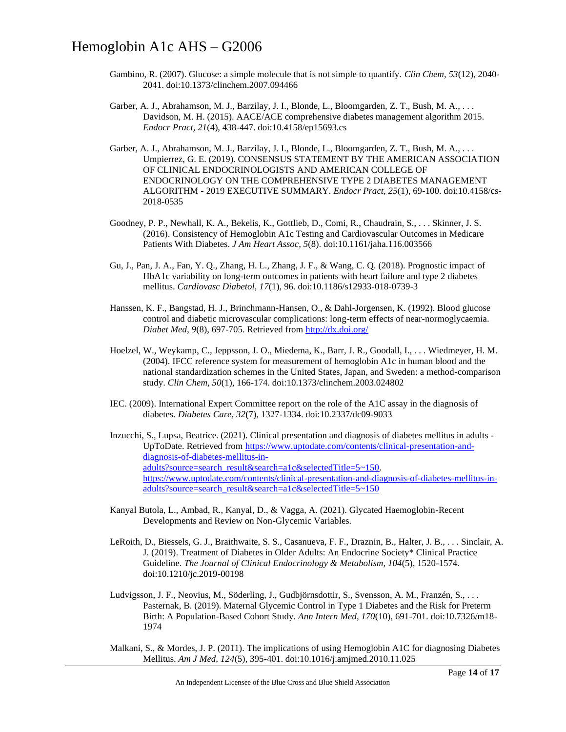- Gambino, R. (2007). Glucose: a simple molecule that is not simple to quantify. *Clin Chem, 53*(12), 2040- 2041. doi:10.1373/clinchem.2007.094466
- Garber, A. J., Abrahamson, M. J., Barzilay, J. I., Blonde, L., Bloomgarden, Z. T., Bush, M. A., . . . Davidson, M. H. (2015). AACE/ACE comprehensive diabetes management algorithm 2015. *Endocr Pract, 21*(4), 438-447. doi:10.4158/ep15693.cs
- Garber, A. J., Abrahamson, M. J., Barzilay, J. I., Blonde, L., Bloomgarden, Z. T., Bush, M. A., ... Umpierrez, G. E. (2019). CONSENSUS STATEMENT BY THE AMERICAN ASSOCIATION OF CLINICAL ENDOCRINOLOGISTS AND AMERICAN COLLEGE OF ENDOCRINOLOGY ON THE COMPREHENSIVE TYPE 2 DIABETES MANAGEMENT ALGORITHM - 2019 EXECUTIVE SUMMARY. *Endocr Pract, 25*(1), 69-100. doi:10.4158/cs-2018-0535
- Goodney, P. P., Newhall, K. A., Bekelis, K., Gottlieb, D., Comi, R., Chaudrain, S., . . . Skinner, J. S. (2016). Consistency of Hemoglobin A1c Testing and Cardiovascular Outcomes in Medicare Patients With Diabetes. *J Am Heart Assoc, 5*(8). doi:10.1161/jaha.116.003566
- Gu, J., Pan, J. A., Fan, Y. Q., Zhang, H. L., Zhang, J. F., & Wang, C. Q. (2018). Prognostic impact of HbA1c variability on long-term outcomes in patients with heart failure and type 2 diabetes mellitus. *Cardiovasc Diabetol, 17*(1), 96. doi:10.1186/s12933-018-0739-3
- Hanssen, K. F., Bangstad, H. J., Brinchmann-Hansen, O., & Dahl-Jorgensen, K. (1992). Blood glucose control and diabetic microvascular complications: long-term effects of near-normoglycaemia. *Diabet Med, 9*(8), 697-705. Retrieved fro[m http://dx.doi.org/](http://dx.doi.org/)
- Hoelzel, W., Weykamp, C., Jeppsson, J. O., Miedema, K., Barr, J. R., Goodall, I., . . . Wiedmeyer, H. M. (2004). IFCC reference system for measurement of hemoglobin A1c in human blood and the national standardization schemes in the United States, Japan, and Sweden: a method-comparison study. *Clin Chem, 50*(1), 166-174. doi:10.1373/clinchem.2003.024802
- IEC. (2009). International Expert Committee report on the role of the A1C assay in the diagnosis of diabetes. *Diabetes Care, 32*(7), 1327-1334. doi:10.2337/dc09-9033
- Inzucchi, S., Lupsa, Beatrice. (2021). Clinical presentation and diagnosis of diabetes mellitus in adults UpToDate. Retrieved from [https://www.uptodate.com/contents/clinical-presentation-and](https://www.uptodate.com/contents/clinical-presentation-and-diagnosis-of-diabetes-mellitus-in-adults?source=search_result&search=a1c&selectedTitle=5~150)[diagnosis-of-diabetes-mellitus-in](https://www.uptodate.com/contents/clinical-presentation-and-diagnosis-of-diabetes-mellitus-in-adults?source=search_result&search=a1c&selectedTitle=5~150)[adults?source=search\\_result&search=a1c&selectedTitle=5~150.](https://www.uptodate.com/contents/clinical-presentation-and-diagnosis-of-diabetes-mellitus-in-adults?source=search_result&search=a1c&selectedTitle=5~150) [https://www.uptodate.com/contents/clinical-presentation-and-diagnosis-of-diabetes-mellitus-in](https://www.uptodate.com/contents/clinical-presentation-and-diagnosis-of-diabetes-mellitus-in-adults?source=search_result&search=a1c&selectedTitle=5~150)[adults?source=search\\_result&search=a1c&selectedTitle=5~150](https://www.uptodate.com/contents/clinical-presentation-and-diagnosis-of-diabetes-mellitus-in-adults?source=search_result&search=a1c&selectedTitle=5~150)
- Kanyal Butola, L., Ambad, R., Kanyal, D., & Vagga, A. (2021). Glycated Haemoglobin-Recent Developments and Review on Non-Glycemic Variables.
- LeRoith, D., Biessels, G. J., Braithwaite, S. S., Casanueva, F. F., Draznin, B., Halter, J. B., . . . Sinclair, A. J. (2019). Treatment of Diabetes in Older Adults: An Endocrine Society\* Clinical Practice Guideline. *The Journal of Clinical Endocrinology & Metabolism, 104*(5), 1520-1574. doi:10.1210/jc.2019-00198
- Ludvigsson, J. F., Neovius, M., Söderling, J., Gudbjörnsdottir, S., Svensson, A. M., Franzén, S., . . . Pasternak, B. (2019). Maternal Glycemic Control in Type 1 Diabetes and the Risk for Preterm Birth: A Population-Based Cohort Study. *Ann Intern Med, 170*(10), 691-701. doi:10.7326/m18- 1974
- Malkani, S., & Mordes, J. P. (2011). The implications of using Hemoglobin A1C for diagnosing Diabetes Mellitus. *Am J Med, 124*(5), 395-401. doi:10.1016/j.amjmed.2010.11.025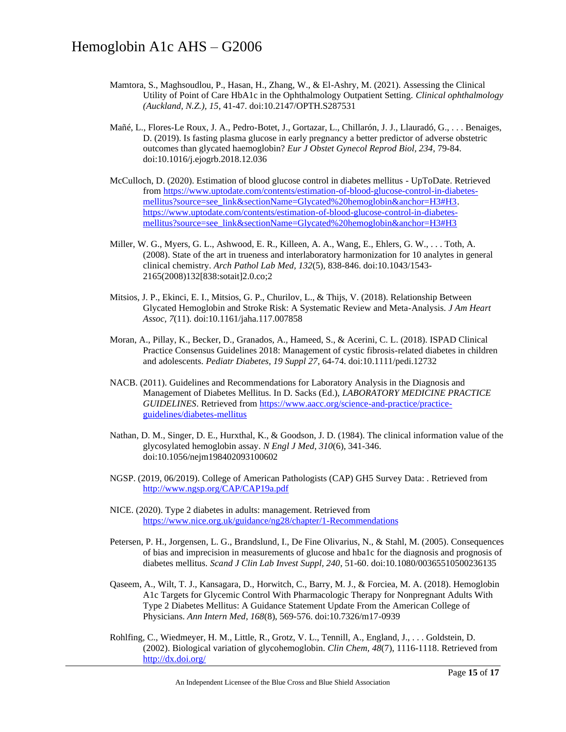- Mamtora, S., Maghsoudlou, P., Hasan, H., Zhang, W., & El-Ashry, M. (2021). Assessing the Clinical Utility of Point of Care HbA1c in the Ophthalmology Outpatient Setting. *Clinical ophthalmology (Auckland, N.Z.), 15*, 41-47. doi:10.2147/OPTH.S287531
- Mañé, L., Flores-Le Roux, J. A., Pedro-Botet, J., Gortazar, L., Chillarón, J. J., Llauradó, G., . . . Benaiges, D. (2019). Is fasting plasma glucose in early pregnancy a better predictor of adverse obstetric outcomes than glycated haemoglobin? *Eur J Obstet Gynecol Reprod Biol, 234*, 79-84. doi:10.1016/j.ejogrb.2018.12.036
- McCulloch, D. (2020). Estimation of blood glucose control in diabetes mellitus UpToDate. Retrieved fro[m https://www.uptodate.com/contents/estimation-of-blood-glucose-control-in-diabetes](https://www.uptodate.com/contents/estimation-of-blood-glucose-control-in-diabetes-mellitus?source=see_link§ionName=Glycated%20hemoglobin&anchor=H3#H3)[mellitus?source=see\\_link&sectionName=Glycated%20hemoglobin&anchor=H3#H3.](https://www.uptodate.com/contents/estimation-of-blood-glucose-control-in-diabetes-mellitus?source=see_link§ionName=Glycated%20hemoglobin&anchor=H3#H3) [https://www.uptodate.com/contents/estimation-of-blood-glucose-control-in-diabetes](https://www.uptodate.com/contents/estimation-of-blood-glucose-control-in-diabetes-mellitus?source=see_link§ionName=Glycated%20hemoglobin&anchor=H3#H3)[mellitus?source=see\\_link&sectionName=Glycated%20hemoglobin&anchor=H3#H3](https://www.uptodate.com/contents/estimation-of-blood-glucose-control-in-diabetes-mellitus?source=see_link§ionName=Glycated%20hemoglobin&anchor=H3#H3)
- Miller, W. G., Myers, G. L., Ashwood, E. R., Killeen, A. A., Wang, E., Ehlers, G. W., . . . Toth, A. (2008). State of the art in trueness and interlaboratory harmonization for 10 analytes in general clinical chemistry. *Arch Pathol Lab Med, 132*(5), 838-846. doi:10.1043/1543- 2165(2008)132[838:sotait]2.0.co;2
- Mitsios, J. P., Ekinci, E. I., Mitsios, G. P., Churilov, L., & Thijs, V. (2018). Relationship Between Glycated Hemoglobin and Stroke Risk: A Systematic Review and Meta-Analysis. *J Am Heart Assoc, 7*(11). doi:10.1161/jaha.117.007858
- Moran, A., Pillay, K., Becker, D., Granados, A., Hameed, S., & Acerini, C. L. (2018). ISPAD Clinical Practice Consensus Guidelines 2018: Management of cystic fibrosis-related diabetes in children and adolescents. *Pediatr Diabetes, 19 Suppl 27*, 64-74. doi:10.1111/pedi.12732
- NACB. (2011). Guidelines and Recommendations for Laboratory Analysis in the Diagnosis and Management of Diabetes Mellitus. In D. Sacks (Ed.), *LABORATORY MEDICINE PRACTICE GUIDELINES*. Retrieved from [https://www.aacc.org/science-and-practice/practice](https://www.aacc.org/science-and-practice/practice-guidelines/diabetes-mellitus)[guidelines/diabetes-mellitus](https://www.aacc.org/science-and-practice/practice-guidelines/diabetes-mellitus)
- Nathan, D. M., Singer, D. E., Hurxthal, K., & Goodson, J. D. (1984). The clinical information value of the glycosylated hemoglobin assay. *N Engl J Med, 310*(6), 341-346. doi:10.1056/nejm198402093100602
- NGSP. (2019, 06/2019). College of American Pathologists (CAP) GH5 Survey Data: . Retrieved from <http://www.ngsp.org/CAP/CAP19a.pdf>
- NICE. (2020). Type 2 diabetes in adults: management. Retrieved from <https://www.nice.org.uk/guidance/ng28/chapter/1-Recommendations>
- Petersen, P. H., Jorgensen, L. G., Brandslund, I., De Fine Olivarius, N., & Stahl, M. (2005). Consequences of bias and imprecision in measurements of glucose and hba1c for the diagnosis and prognosis of diabetes mellitus. *Scand J Clin Lab Invest Suppl, 240*, 51-60. doi:10.1080/00365510500236135
- Qaseem, A., Wilt, T. J., Kansagara, D., Horwitch, C., Barry, M. J., & Forciea, M. A. (2018). Hemoglobin A1c Targets for Glycemic Control With Pharmacologic Therapy for Nonpregnant Adults With Type 2 Diabetes Mellitus: A Guidance Statement Update From the American College of Physicians. *Ann Intern Med, 168*(8), 569-576. doi:10.7326/m17-0939
- Rohlfing, C., Wiedmeyer, H. M., Little, R., Grotz, V. L., Tennill, A., England, J., . . . Goldstein, D. (2002). Biological variation of glycohemoglobin. *Clin Chem, 48*(7), 1116-1118. Retrieved from <http://dx.doi.org/>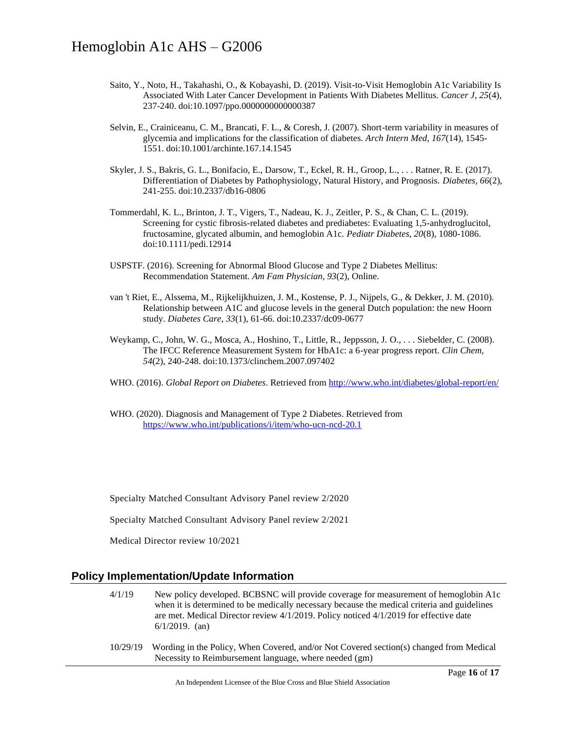- Saito, Y., Noto, H., Takahashi, O., & Kobayashi, D. (2019). Visit-to-Visit Hemoglobin A1c Variability Is Associated With Later Cancer Development in Patients With Diabetes Mellitus. *Cancer J, 25*(4), 237-240. doi:10.1097/ppo.0000000000000387
- Selvin, E., Crainiceanu, C. M., Brancati, F. L., & Coresh, J. (2007). Short-term variability in measures of glycemia and implications for the classification of diabetes. *Arch Intern Med, 167*(14), 1545- 1551. doi:10.1001/archinte.167.14.1545
- Skyler, J. S., Bakris, G. L., Bonifacio, E., Darsow, T., Eckel, R. H., Groop, L., . . . Ratner, R. E. (2017). Differentiation of Diabetes by Pathophysiology, Natural History, and Prognosis. *Diabetes, 66*(2), 241-255. doi:10.2337/db16-0806
- Tommerdahl, K. L., Brinton, J. T., Vigers, T., Nadeau, K. J., Zeitler, P. S., & Chan, C. L. (2019). Screening for cystic fibrosis-related diabetes and prediabetes: Evaluating 1,5-anhydroglucitol, fructosamine, glycated albumin, and hemoglobin A1c. *Pediatr Diabetes, 20*(8), 1080-1086. doi:10.1111/pedi.12914
- USPSTF. (2016). Screening for Abnormal Blood Glucose and Type 2 Diabetes Mellitus: Recommendation Statement. *Am Fam Physician, 93*(2), Online.
- van 't Riet, E., Alssema, M., Rijkelijkhuizen, J. M., Kostense, P. J., Nijpels, G., & Dekker, J. M. (2010). Relationship between A1C and glucose levels in the general Dutch population: the new Hoorn study. *Diabetes Care, 33*(1), 61-66. doi:10.2337/dc09-0677
- Weykamp, C., John, W. G., Mosca, A., Hoshino, T., Little, R., Jeppsson, J. O., . . . Siebelder, C. (2008). The IFCC Reference Measurement System for HbA1c: a 6-year progress report. *Clin Chem, 54*(2), 240-248. doi:10.1373/clinchem.2007.097402
- WHO. (2016). *Global Report on Diabetes*. Retrieved fro[m http://www.who.int/diabetes/global-report/en/](http://www.who.int/diabetes/global-report/en/)
- WHO. (2020). Diagnosis and Management of Type 2 Diabetes. Retrieved from <https://www.who.int/publications/i/item/who-ucn-ncd-20.1>

Specialty Matched Consultant Advisory Panel review 2/2020

Specialty Matched Consultant Advisory Panel review 2/2021

Medical Director review 10/2021

### **Policy Implementation/Update Information**

- 4/1/19 New policy developed. BCBSNC will provide coverage for measurement of hemoglobin A1c when it is determined to be medically necessary because the medical criteria and guidelines are met. Medical Director review 4/1/2019. Policy noticed 4/1/2019 for effective date 6/1/2019. (an)
- 10/29/19 Wording in the Policy, When Covered, and/or Not Covered section(s) changed from Medical Necessity to Reimbursement language, where needed (gm)